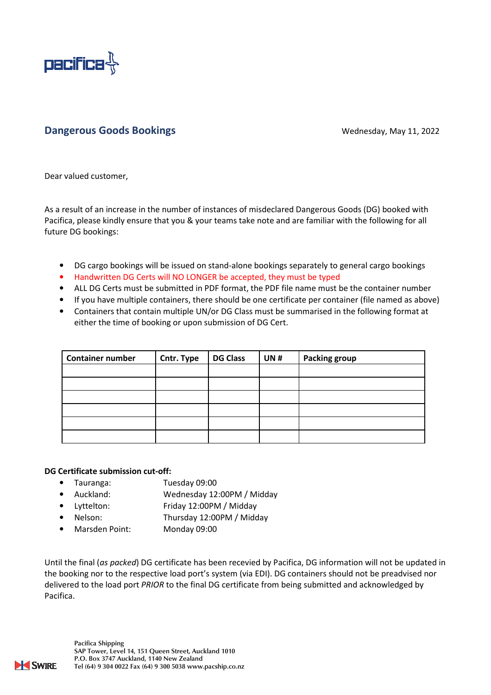

## Dangerous Goods Bookings **Dangerous Coods Bookings** Wednesday, May 11, 2022

Dear valued customer,

As a result of an increase in the number of instances of misdeclared Dangerous Goods (DG) booked with Pacifica, please kindly ensure that you & your teams take note and are familiar with the following for all future DG bookings:

- DG cargo bookings will be issued on stand-alone bookings separately to general cargo bookings
- Handwritten DG Certs will NO LONGER be accepted, they must be typed
- ALL DG Certs must be submitted in PDF format, the PDF file name must be the container number
- If you have multiple containers, there should be one certificate per container (file named as above)
- Containers that contain multiple UN/or DG Class must be summarised in the following format at either the time of booking or upon submission of DG Cert.

| <b>Container number</b> | Cntr. Type | <b>DG Class</b> | <b>UN#</b> | <b>Packing group</b> |
|-------------------------|------------|-----------------|------------|----------------------|
|                         |            |                 |            |                      |
|                         |            |                 |            |                      |
|                         |            |                 |            |                      |
|                         |            |                 |            |                      |
|                         |            |                 |            |                      |
|                         |            |                 |            |                      |

## DG Certificate submission cut-off:

- Tauranga: Tuesday 09:00
- Auckland: Wednesday 12:00PM / Midday
- Lyttelton: Friday 12:00PM / Midday
- Nelson: Thursday 12:00PM / Midday
- Marsden Point: Monday 09:00

Until the final (as packed) DG certificate has been recevied by Pacifica, DG information will not be updated in the booking nor to the respective load port's system (via EDI). DG containers should not be preadvised nor delivered to the load port PRIOR to the final DG certificate from being submitted and acknowledged by Pacifica.

Pacifica Shipping SAP Tower, Level 14, 151 Queen Street, Auckland 1010 P.O. Box 3747 Auckland, 1140 New Zealand Tel (64) 9 304 0022 Fax (64) 9 300 5038 www.pacship.co.nz